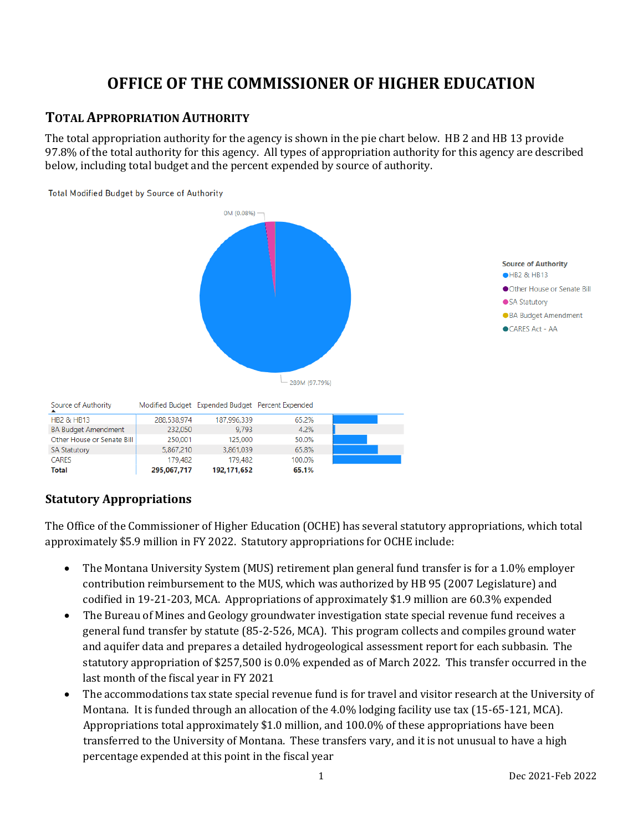# **OFFICE OF THE COMMISSIONER OF HIGHER EDUCATION**

# **TOTAL APPROPRIATION AUTHORITY**

The total appropriation authority for the agency is shown in the pie chart below. HB 2 and HB 13 provide 97.8% of the total authority for this agency. All types of appropriation authority for this agency are described below, including total budget and the percent expended by source of authority.



**Statutory Appropriations**

**Total** 

295.067.717

192, 171, 652

The Office of the Commissioner of Higher Education (OCHE) has several statutory appropriations, which total approximately \$5.9 million in FY 2022. Statutory appropriations for OCHE include:

65.1%

- The Montana University System (MUS) retirement plan general fund transfer is for a 1.0% employer contribution reimbursement to the MUS, which was authorized by HB 95 (2007 Legislature) and codified in 19-21-203, MCA. Appropriations of approximately \$1.9 million are 60.3% expended
- The Bureau of Mines and Geology groundwater investigation state special revenue fund receives a general fund transfer by statute (85-2-526, MCA). This program collects and compiles ground water and aquifer data and prepares a detailed hydrogeological assessment report for each subbasin. The statutory appropriation of \$257,500 is 0.0% expended as of March 2022. This transfer occurred in the last month of the fiscal year in FY 2021
- The accommodations tax state special revenue fund is for travel and visitor research at the University of Montana. It is funded through an allocation of the 4.0% lodging facility use tax (15-65-121, MCA). Appropriations total approximately \$1.0 million, and 100.0% of these appropriations have been transferred to the University of Montana. These transfers vary, and it is not unusual to have a high percentage expended at this point in the fiscal year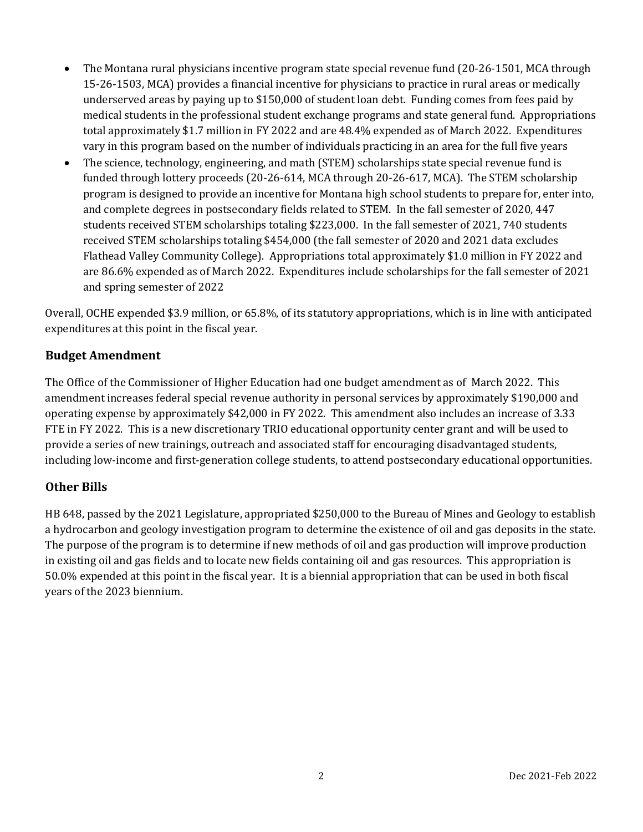- The Montana rural physicians incentive program state special revenue fund (20-26-1501, MCA through 15-26-1503, MCA) provides a financial incentive for physicians to practice in rural areas or medically underserved areas by paying up to \$150,000 of student loan debt. Funding comes from fees paid by medical students in the professional student exchange programs and state general fund. Appropriations total approximately \$1.7 million in FY 2022 and are 48.4% expended as of March 2022. Expenditures vary in this program based on the number of individuals practicing in an area for the full five years
- The science, technology, engineering, and math (STEM) scholarships state special revenue fund is funded through lottery proceeds (20-26-614, MCA through 20-26-617, MCA). The STEM scholarship program is designed to provide an incentive for Montana high school students to prepare for, enter into, and complete degrees in postsecondary fields related to STEM. In the fall semester of 2020, 447 students received STEM scholarships totaling \$223,000. In the fall semester of 2021, 740 students received STEM scholarships totaling \$454,000 (the fall semester of 2020 and 2021 data excludes Flathead Valley Community College). Appropriations total approximately \$1.0 million in FY 2022 and are 86.6% expended as of March 2022. Expenditures include scholarships for the fall semester of 2021 and spring semester of 2022

Overall, OCHE expended \$3.9 million, or 65.8%, of its statutory appropriations, which is in line with anticipated expenditures at this point in the fiscal year.

### **Budget Amendment**

The Office of the Commissioner of Higher Education had one budget amendment as of March 2022. This amendment increases federal special revenue authority in personal services by approximately \$190,000 and operating expense by approximately \$42,000 in FY 2022. This amendment also includes an increase of 3.33 FTE in FY 2022. This is a new discretionary TRIO educational opportunity center grant and will be used to provide a series of new trainings, outreach and associated staff for encouraging disadvantaged students, including low-income and first-generation college students, to attend postsecondary educational opportunities.

#### **Other Bills**

HB 648, passed by the 2021 Legislature, appropriated \$250,000 to the Bureau of Mines and Geology to establish a hydrocarbon and geology investigation program to determine the existence of oil and gas deposits in the state. The purpose of the program is to determine if new methods of oil and gas production will improve production in existing oil and gas fields and to locate new fields containing oil and gas resources. This appropriation is 50.0% expended at this point in the fiscal year. It is a biennial appropriation that can be used in both fiscal years of the 2023 biennium.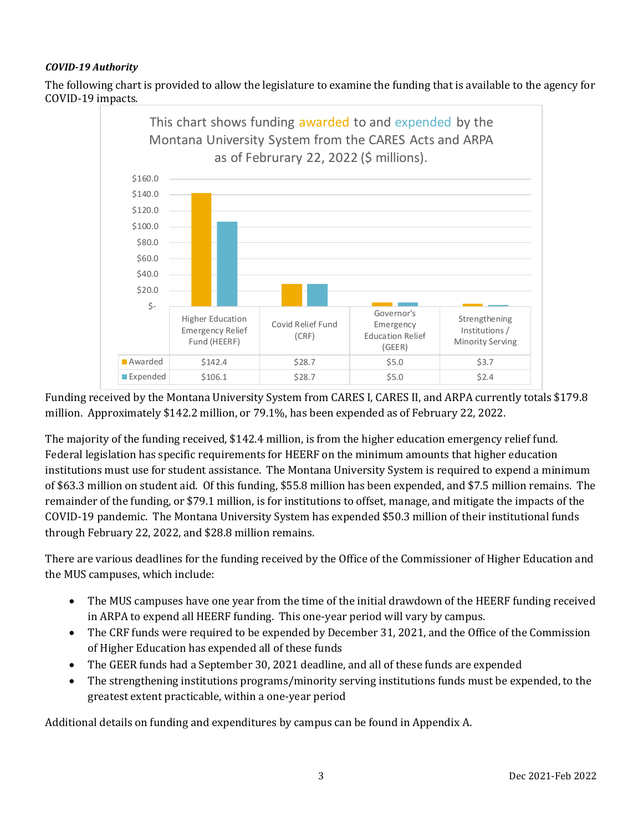### *COVID-19 Authority*

The following chart is provided to allow the legislature to examine the funding that is available to the agency for COVID-19 impacts.



Funding received by the Montana University System from CARES I, CARES II, and ARPA currently totals \$179.8 million. Approximately \$142.2 million, or 79.1%, has been expended as of February 22, 2022.

The majority of the funding received, \$142.4 million, is from the higher education emergency relief fund. Federal legislation has specific requirements for HEERF on the minimum amounts that higher education institutions must use for student assistance. The Montana University System is required to expend a minimum of \$63.3 million on student aid. Of this funding, \$55.8 million has been expended, and \$7.5 million remains. The remainder of the funding, or \$79.1 million, is for institutions to offset, manage, and mitigate the impacts of the COVID-19 pandemic. The Montana University System has expended \$50.3 million of their institutional funds through February 22, 2022, and \$28.8 million remains.

There are various deadlines for the funding received by the Office of the Commissioner of Higher Education and the MUS campuses, which include:

- The MUS campuses have one year from the time of the initial drawdown of the HEERF funding received in ARPA to expend all HEERF funding. This one-year period will vary by campus.
- The CRF funds were required to be expended by December 31, 2021, and the Office of the Commission of Higher Education has expended all of these funds
- The GEER funds had a September 30, 2021 deadline, and all of these funds are expended
- The strengthening institutions programs/minority serving institutions funds must be expended, to the greatest extent practicable, within a one-year period

Additional details on funding and expenditures by campus can be found in Appendix A.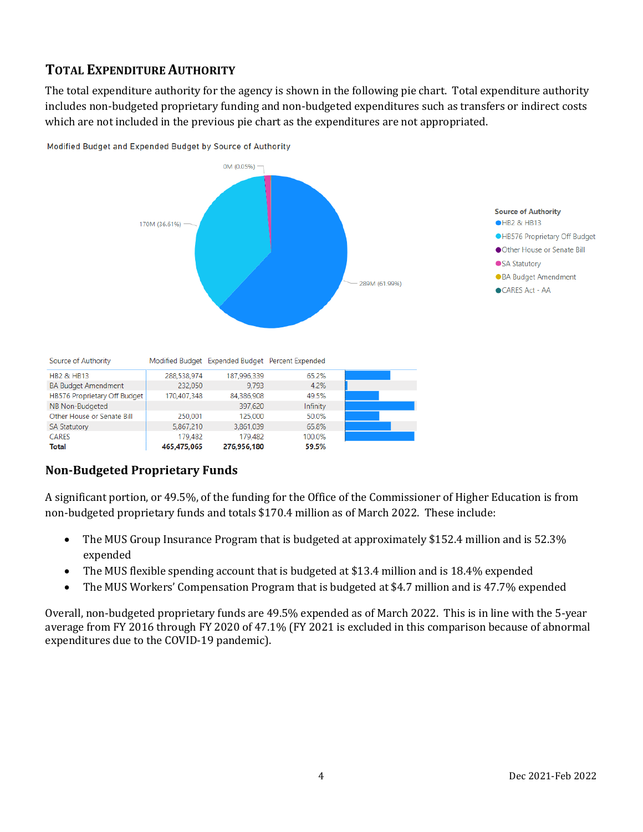# **TOTAL EXPENDITURE AUTHORITY**

The total expenditure authority for the agency is shown in the following pie chart. Total expenditure authority includes non-budgeted proprietary funding and non-budgeted expenditures such as transfers or indirect costs which are not included in the previous pie chart as the expenditures are not appropriated.



Modified Budget and Expended Budget by Source of Authority

# **Non-Budgeted Proprietary Funds**

465,475,065

276,956,180

**CARES** 

**Total** 

A significant portion, or 49.5%, of the funding for the Office of the Commissioner of Higher Education is from non-budgeted proprietary funds and totals \$170.4 million as of March 2022. These include:

59.5%

- The MUS Group Insurance Program that is budgeted at approximately \$152.4 million and is 52.3% expended
- The MUS flexible spending account that is budgeted at \$13.4 million and is 18.4% expended
- The MUS Workers' Compensation Program that is budgeted at \$4.7 million and is 47.7% expended

Overall, non-budgeted proprietary funds are 49.5% expended as of March 2022. This is in line with the 5-year average from FY 2016 through FY 2020 of 47.1% (FY 2021 is excluded in this comparison because of abnormal expenditures due to the COVID-19 pandemic).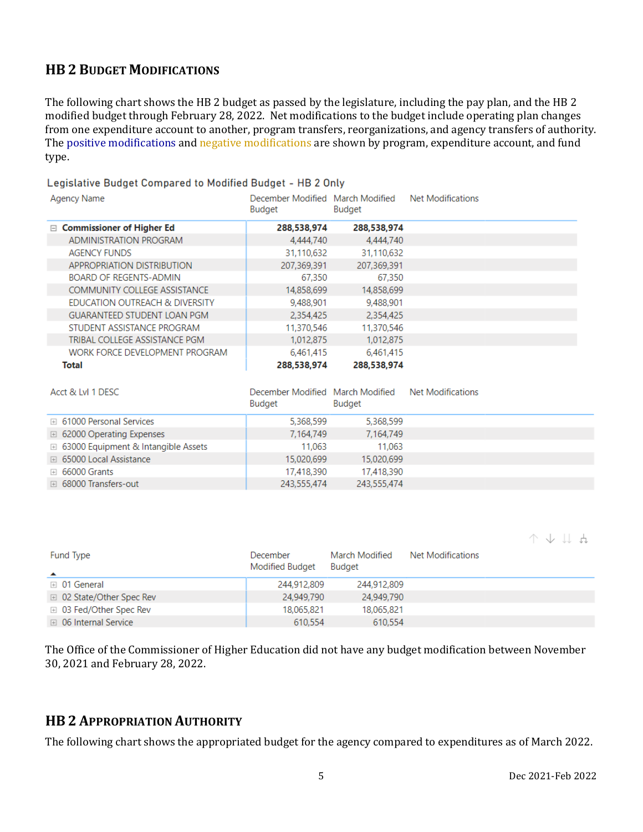# **HB 2 BUDGET MODIFICATIONS**

The following chart shows the HB 2 budget as passed by the legislature, including the pay plan, and the HB 2 modified budget through February 28, 2022. Net modifications to the budget include operating plan changes from one expenditure account to another, program transfers, reorganizations, and agency transfers of authority. The positive modifications and negative modifications are shown by program, expenditure account, and fund type.

#### Legislative Budget Compared to Modified Budget - HB 2 Only

| Agency Name                         | December Modified March Modified<br>Budget | <b>Budget</b> | Net Modifications |  |
|-------------------------------------|--------------------------------------------|---------------|-------------------|--|
| $\Box$ Commissioner of Higher Ed    | 288,538,974                                | 288,538,974   |                   |  |
| ADMINISTRATION PROGRAM              | 4.444.740                                  | 4.444.740     |                   |  |
| <b>AGENCY FUNDS</b>                 | 31,110,632                                 | 31,110,632    |                   |  |
| APPROPRIATION DISTRIBUTION          | 207,369,391                                | 207,369,391   |                   |  |
| <b>BOARD OF REGENTS-ADMIN</b>       | 67,350                                     | 67,350        |                   |  |
| <b>COMMUNITY COLLEGE ASSISTANCE</b> | 14,858,699                                 | 14,858,699    |                   |  |
| EDUCATION OUTREACH & DIVERSITY      | 9,488,901                                  | 9,488,901     |                   |  |
| <b>GUARANTEED STUDENT LOAN PGM</b>  | 2,354,425                                  | 2.354.425     |                   |  |
| STUDENT ASSISTANCE PROGRAM          | 11,370,546                                 | 11,370,546    |                   |  |
| TRIBAL COLLEGE ASSISTANCE PGM       | 1,012,875                                  | 1,012,875     |                   |  |
| WORK FORCE DEVELOPMENT PROGRAM      | 6,461,415                                  | 6,461,415     |                   |  |
| Total                               | 288,538,974                                | 288,538,974   |                   |  |

| Acct & LvI 1 DESC                            | December Modified March Modified<br><b>Budget</b> | Budget      | Net Modifications |  |
|----------------------------------------------|---------------------------------------------------|-------------|-------------------|--|
| <b>E</b> 61000 Personal Services             | 5,368,599                                         | 5,368,599   |                   |  |
| □ 62000 Operating Expenses                   | 7,164,749                                         | 7,164,749   |                   |  |
| <b>E</b> 63000 Equipment & Intangible Assets | 11.063                                            | 11.063      |                   |  |
| □ 65000 Local Assistance                     | 15,020,699                                        | 15,020,699  |                   |  |
| $\boxplus$ 66000 Grants                      | 17,418,390                                        | 17,418,390  |                   |  |
| □ 68000 Transfers-out                        | 243,555,474                                       | 243,555,474 |                   |  |

 $A + I$ 

| Fund Type<br>▲            | December<br><b>Modified Budget</b> | March Modified<br><b>Budget</b> | Net Modifications |  |
|---------------------------|------------------------------------|---------------------------------|-------------------|--|
| ⊞ 01 General              | 244,912,809                        | 244,912,809                     |                   |  |
| ⊞ 02 State/Other Spec Rev | 24,949,790                         | 24,949,790                      |                   |  |
| ⊞ 03 Fed/Other Spec Rev   | 18.065.821                         | 18,065,821                      |                   |  |
| ⊞ 06 Internal Service     | 610.554                            | 610.554                         |                   |  |

The Office of the Commissioner of Higher Education did not have any budget modification between November 30, 2021 and February 28, 2022.

# **HB 2 APPROPRIATION AUTHORITY**

The following chart shows the appropriated budget for the agency compared to expenditures as of March 2022.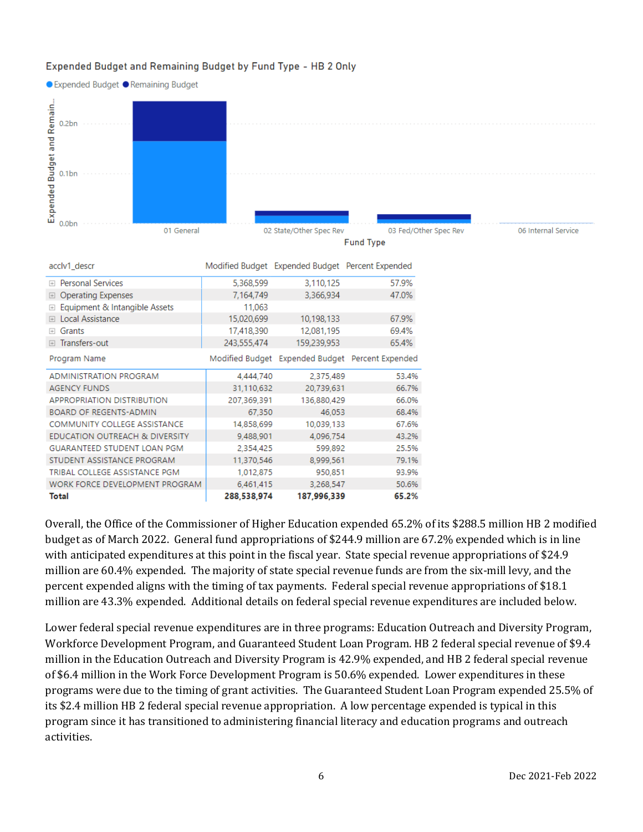#### Expended Budget and Remaining Budget by Fund Type - HB 2 Only



| acclv1_descr                            |             | Modified Budget Expended Budget Percent Expended |                                                  |
|-----------------------------------------|-------------|--------------------------------------------------|--------------------------------------------------|
| <b>Personal Services</b><br>$\Box$      | 5,368,599   | 3,110,125                                        | 57.9%                                            |
| <b>Operating Expenses</b><br>$\Box$     | 7,164,749   | 3,366,934                                        | 47.0%                                            |
| Equipment & Intangible Assets<br>$\Box$ | 11,063      |                                                  |                                                  |
| Local Assistance<br>$\overline{+}$      | 15,020,699  | 10,198,133                                       | 67.9%                                            |
| Grants<br>$\Box$                        | 17,418,390  | 12.081,195                                       | 69.4%                                            |
| Transfers-out<br>$\boxed{+}$            | 243,555,474 | 159,239,953                                      | 65.4%                                            |
| Program Name                            |             |                                                  | Modified Budget Expended Budget Percent Expended |
| <b>ADMINISTRATION PROGRAM</b>           | 4,444,740   | 2,375,489                                        | 53.4%                                            |
| <b>AGENCY FUNDS</b>                     | 31,110,632  | 20,739,631                                       | 66.7%                                            |
| <b>APPROPRIATION DISTRIBUTION</b>       | 207,369,391 | 136,880,429                                      | 66.0%                                            |
| <b>BOARD OF REGENTS-ADMIN</b>           | 67,350      | 46,053                                           | 68.4%                                            |
| <b>COMMUNITY COLLEGE ASSISTANCE</b>     | 14,858,699  | 10,039,133                                       | 67.6%                                            |
| EDUCATION OUTREACH & DIVERSITY          | 9,488,901   | 4,096,754                                        | 43.2%                                            |
| <b>GUARANTEED STUDENT LOAN PGM</b>      | 2,354,425   | 599,892                                          | 25.5%                                            |
| STUDENT ASSISTANCE PROGRAM              | 11,370,546  | 8.999.561                                        | 79.1%                                            |
| TRIBAL COLLEGE ASSISTANCE PGM           | 1,012,875   | 950,851                                          | 93.9%                                            |
| WORK FORCE DEVELOPMENT PROGRAM          | 6,461,415   | 3,268,547                                        | 50.6%                                            |
| Total                                   | 288,538,974 | 187,996,339                                      | 65.2%                                            |

Overall, the Office of the Commissioner of Higher Education expended 65.2% of its \$288.5 million HB 2 modified budget as of March 2022. General fund appropriations of \$244.9 million are 67.2% expended which is in line with anticipated expenditures at this point in the fiscal year. State special revenue appropriations of \$24.9 million are 60.4% expended. The majority of state special revenue funds are from the six-mill levy, and the percent expended aligns with the timing of tax payments. Federal special revenue appropriations of \$18.1 million are 43.3% expended. Additional details on federal special revenue expenditures are included below.

Lower federal special revenue expenditures are in three programs: Education Outreach and Diversity Program, Workforce Development Program, and Guaranteed Student Loan Program. HB 2 federal special revenue of \$9.4 million in the Education Outreach and Diversity Program is 42.9% expended, and HB 2 federal special revenue of \$6.4 million in the Work Force Development Program is 50.6% expended. Lower expenditures in these programs were due to the timing of grant activities. The Guaranteed Student Loan Program expended 25.5% of its \$2.4 million HB 2 federal special revenue appropriation. A low percentage expended is typical in this program since it has transitioned to administering financial literacy and education programs and outreach activities.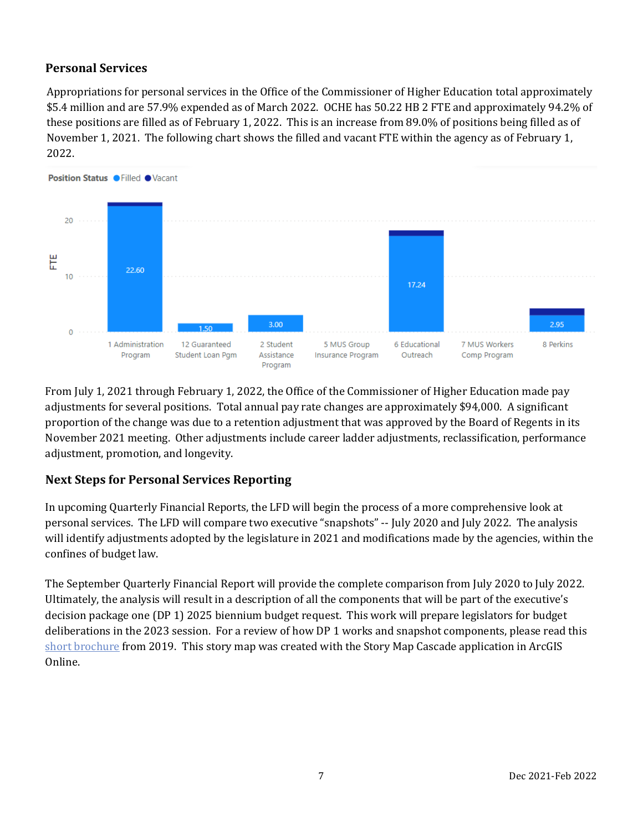# **Personal Services**

Appropriations for personal services in the Office of the Commissioner of Higher Education total approximately \$5.4 million and are 57.9% expended as of March 2022. OCHE has 50.22 HB 2 FTE and approximately 94.2% of these positions are filled as of February 1, 2022. This is an increase from 89.0% of positions being filled as of November 1, 2021. The following chart shows the filled and vacant FTE within the agency as of February 1, 2022.



From July 1, 2021 through February 1, 2022, the Office of the Commissioner of Higher Education made pay adjustments for several positions. Total annual pay rate changes are approximately \$94,000. A significant proportion of the change was due to a retention adjustment that was approved by the Board of Regents in its November 2021 meeting. Other adjustments include career ladder adjustments, reclassification, performance adjustment, promotion, and longevity.

# **Next Steps for Personal Services Reporting**

In upcoming Quarterly Financial Reports, the LFD will begin the process of a more comprehensive look at personal services. The LFD will compare two executive "snapshots" -- July 2020 and July 2022. The analysis will identify adjustments adopted by the legislature in 2021 and modifications made by the agencies, within the confines of budget law.

The September Quarterly Financial Report will provide the complete comparison from July 2020 to July 2022. Ultimately, the analysis will result in a description of all the components that will be part of the executive's decision package one (DP 1) 2025 biennium budget request. This work will prepare legislators for budget deliberations in the 2023 session. For a review of how DP 1 works and snapshot components, please read this [short brochure](https://montana.maps.arcgis.com/apps/Cascade/index.html?appid=23095fcf15754f4fb38b63c58a884b97) from 2019. This story map was created with the Story Map Cascade application in ArcGIS Online.